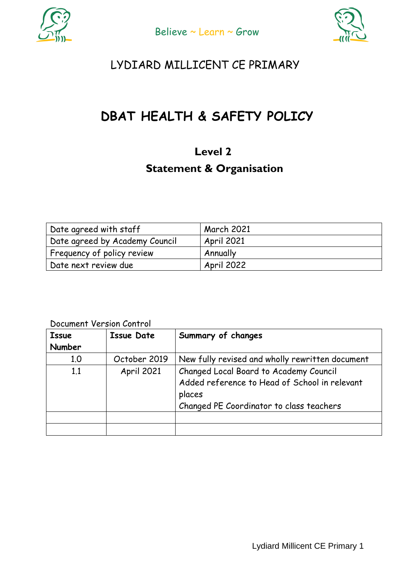



## LYDIARD MILLICENT CE PRIMARY

# **DBAT HEALTH & SAFETY POLICY**

## **Level 2**

## **Statement & Organisation**

| Date agreed with staff         | <b>March 2021</b> |
|--------------------------------|-------------------|
| Date agreed by Academy Council | <b>April 2021</b> |
| Frequency of policy review     | Annually          |
| Date next review due           | <b>April 2022</b> |

Document Version Control

| Issue  | <b>Issue Date</b> | Summary of changes                                                                                                                            |
|--------|-------------------|-----------------------------------------------------------------------------------------------------------------------------------------------|
| Number |                   |                                                                                                                                               |
| 1.0    | October 2019      | New fully revised and wholly rewritten document                                                                                               |
| 1.1    | <b>April 2021</b> | Changed Local Board to Academy Council<br>Added reference to Head of School in relevant<br>places<br>Changed PE Coordinator to class teachers |
|        |                   |                                                                                                                                               |
|        |                   |                                                                                                                                               |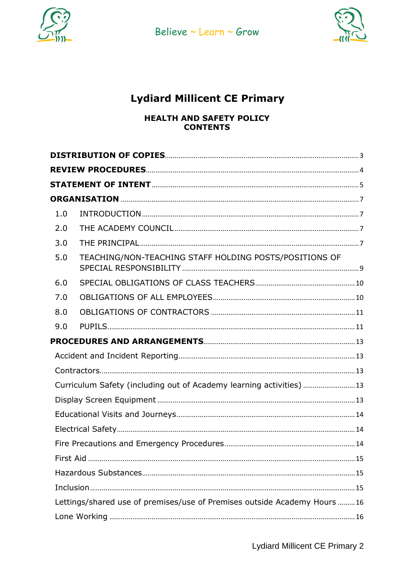



## **Lydiard Millicent CE Primary**

## **HEALTH AND SAFETY POLICY CONTENTS**

| 1.0                                                                      |                                                        |  |  |
|--------------------------------------------------------------------------|--------------------------------------------------------|--|--|
| 2.0                                                                      |                                                        |  |  |
| 3.0                                                                      |                                                        |  |  |
| 5.0                                                                      | TEACHING/NON-TEACHING STAFF HOLDING POSTS/POSITIONS OF |  |  |
| 6.0                                                                      |                                                        |  |  |
| 7.0                                                                      |                                                        |  |  |
| 8.0                                                                      |                                                        |  |  |
| 9.0                                                                      |                                                        |  |  |
|                                                                          |                                                        |  |  |
|                                                                          |                                                        |  |  |
|                                                                          |                                                        |  |  |
| Curriculum Safety (including out of Academy learning activities)  13     |                                                        |  |  |
|                                                                          |                                                        |  |  |
|                                                                          |                                                        |  |  |
|                                                                          |                                                        |  |  |
|                                                                          |                                                        |  |  |
|                                                                          |                                                        |  |  |
|                                                                          |                                                        |  |  |
|                                                                          |                                                        |  |  |
| Lettings/shared use of premises/use of Premises outside Academy Hours 16 |                                                        |  |  |
|                                                                          |                                                        |  |  |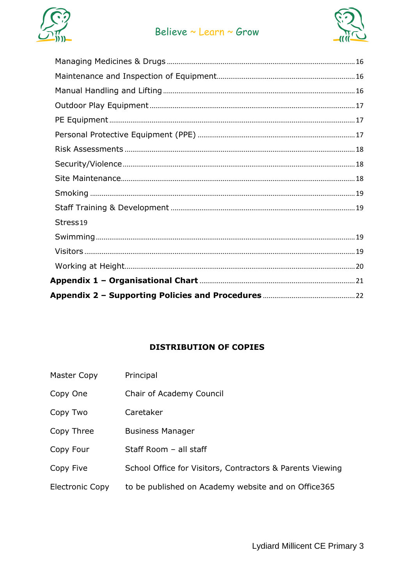

## Believe ~ Learn ~ Grow



| Stress <sub>19</sub> |  |
|----------------------|--|
|                      |  |
|                      |  |
|                      |  |
|                      |  |
|                      |  |
|                      |  |

## **DISTRIBUTION OF COPIES**

<span id="page-2-0"></span>

| Master Copy            | Principal                                                 |
|------------------------|-----------------------------------------------------------|
| Copy One               | Chair of Academy Council                                  |
| Copy Two               | Caretaker                                                 |
| Copy Three             | <b>Business Manager</b>                                   |
| Copy Four              | Staff Room - all staff                                    |
| Copy Five              | School Office for Visitors, Contractors & Parents Viewing |
| <b>Electronic Copy</b> | to be published on Academy website and on Office365       |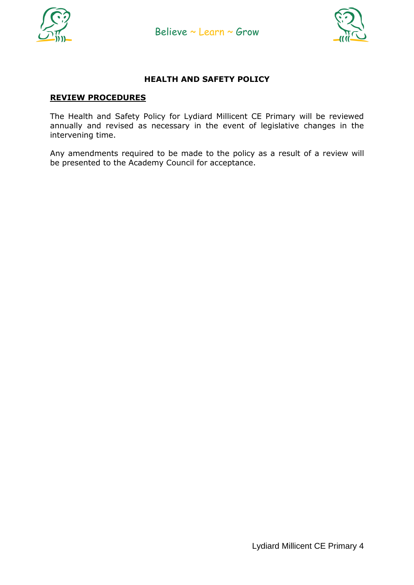



## **HEALTH AND SAFETY POLICY**

#### <span id="page-3-0"></span>**REVIEW PROCEDURES**

The Health and Safety Policy for Lydiard Millicent CE Primary will be reviewed annually and revised as necessary in the event of legislative changes in the intervening time.

Any amendments required to be made to the policy as a result of a review will be presented to the Academy Council for acceptance.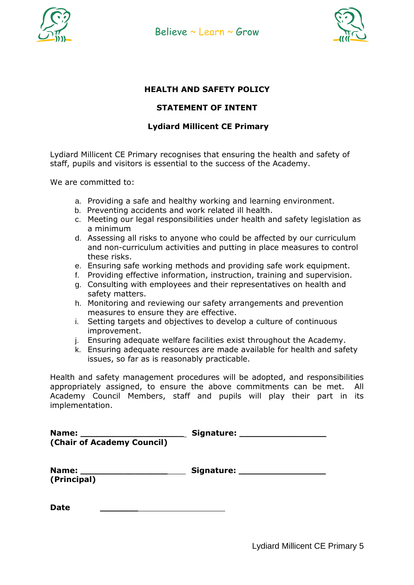



## **HEALTH AND SAFETY POLICY**

## **STATEMENT OF INTENT**

## **Lydiard Millicent CE Primary**

<span id="page-4-0"></span>Lydiard Millicent CE Primary recognises that ensuring the health and safety of staff, pupils and visitors is essential to the success of the Academy.

We are committed to:

- a. Providing a safe and healthy working and learning environment.
- b. Preventing accidents and work related ill health.
- c. Meeting our legal responsibilities under health and safety legislation as a minimum
- d. Assessing all risks to anyone who could be affected by our curriculum and non-curriculum activities and putting in place measures to control these risks.
- e. Ensuring safe working methods and providing safe work equipment.
- f. Providing effective information, instruction, training and supervision.
- g. Consulting with employees and their representatives on health and safety matters.
- h. Monitoring and reviewing our safety arrangements and prevention measures to ensure they are effective.
- i. Setting targets and objectives to develop a culture of continuous improvement.
- j. Ensuring adequate welfare facilities exist throughout the Academy.
- k. Ensuring adequate resources are made available for health and safety issues, so far as is reasonably practicable.

Health and safety management procedures will be adopted, and responsibilities appropriately assigned, to ensure the above commitments can be met. All Academy Council Members, staff and pupils will play their part in its implementation.

| Name:<br>(Chair of Academy Council) | Signature:            |
|-------------------------------------|-----------------------|
| Name:<br>(Principal)                | Signature: Signature: |
| <b>Date</b>                         |                       |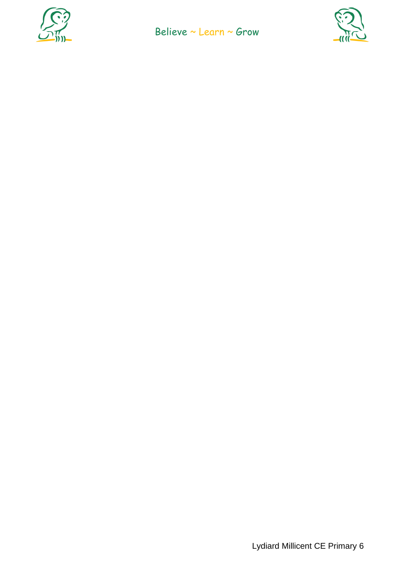

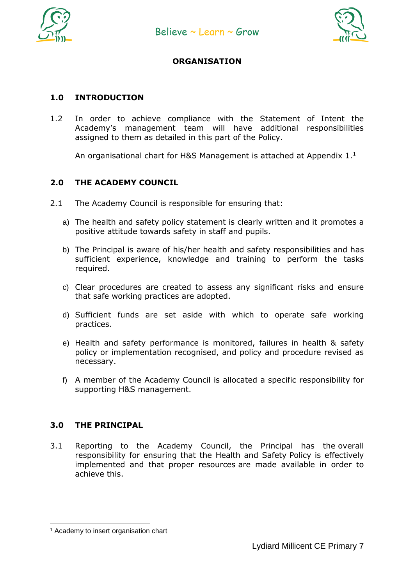



## **ORGANISATION**

## <span id="page-6-1"></span><span id="page-6-0"></span>**1.0 INTRODUCTION**

1.2 In order to achieve compliance with the Statement of Intent the Academy's management team will have additional responsibilities assigned to them as detailed in this part of the Policy.

An organisational chart for H&S Management is attached at Appendix 1.<sup>1</sup>

## <span id="page-6-2"></span>**2.0 THE ACADEMY COUNCIL**

- 2.1 The Academy Council is responsible for ensuring that:
	- a) The health and safety policy statement is clearly written and it promotes a positive attitude towards safety in staff and pupils.
	- b) The Principal is aware of his/her health and safety responsibilities and has sufficient experience, knowledge and training to perform the tasks required.
	- c) Clear procedures are created to assess any significant risks and ensure that safe working practices are adopted.
	- d) Sufficient funds are set aside with which to operate safe working practices.
	- e) Health and safety performance is monitored, failures in health & safety policy or implementation recognised, and policy and procedure revised as necessary.
	- f) A member of the Academy Council is allocated a specific responsibility for supporting H&S management.

## <span id="page-6-3"></span>**3.0 THE PRINCIPAL**

3.1 Reporting to the Academy Council, the Principal has the overall responsibility for ensuring that the Health and Safety Policy is effectively implemented and that proper resources are made available in order to achieve this.

<sup>1</sup> <sup>1</sup> Academy to insert organisation chart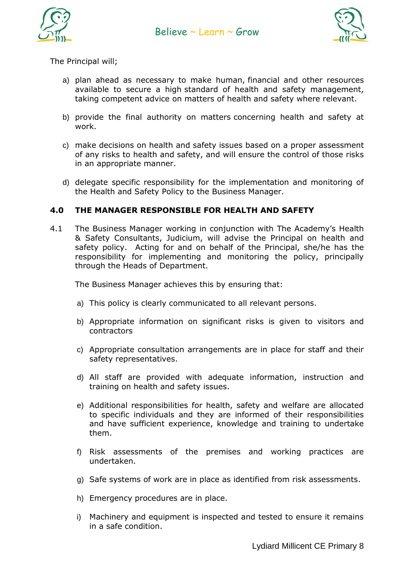



The Principal will;

- a) plan ahead as necessary to make human, financial and other resources available to secure a high standard of health and safety management, taking competent advice on matters of health and safety where relevant.
- b) provide the final authority on matters concerning health and safety at work.
- c) make decisions on health and safety issues based on a proper assessment of any risks to health and safety, and will ensure the control of those risks in an appropriate manner.
- d) delegate specific responsibility for the implementation and monitoring of the Health and Safety Policy to the Business Manager.

## **4.0 THE MANAGER RESPONSIBLE FOR HEALTH AND SAFETY**

4.1 The Business Manager working in conjunction with The Academy's Health & Safety Consultants, Judicium, will advise the Principal on health and safety policy. Acting for and on behalf of the Principal, she/he has the responsibility for implementing and monitoring the policy, principally through the Heads of Department.

The Business Manager achieves this by ensuring that:

- a) This policy is clearly communicated to all relevant persons.
- b) Appropriate information on significant risks is given to visitors and contractors
- c) Appropriate consultation arrangements are in place for staff and their safety representatives.
- d) All staff are provided with adequate information, instruction and training on health and safety issues.
- e) Additional responsibilities for health, safety and welfare are allocated to specific individuals and they are informed of their responsibilities and have sufficient experience, knowledge and training to undertake them.
- f) Risk assessments of the premises and working practices are undertaken.
- g) Safe systems of work are in place as identified from risk assessments.
- h) Emergency procedures are in place.
- i) Machinery and equipment is inspected and tested to ensure it remains in a safe condition.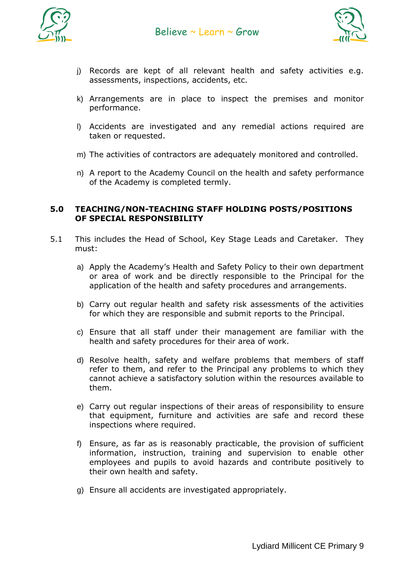



- j) Records are kept of all relevant health and safety activities e.g. assessments, inspections, accidents, etc.
- k) Arrangements are in place to inspect the premises and monitor performance.
- l) Accidents are investigated and any remedial actions required are taken or requested.
- m) The activities of contractors are adequately monitored and controlled.
- n) A report to the Academy Council on the health and safety performance of the Academy is completed termly.

#### <span id="page-8-0"></span>**5.0 TEACHING/NON-TEACHING STAFF HOLDING POSTS/POSITIONS OF SPECIAL RESPONSIBILITY**

- 5.1 This includes the Head of School, Key Stage Leads and Caretaker. They must:
	- a) Apply the Academy's Health and Safety Policy to their own department or area of work and be directly responsible to the Principal for the application of the health and safety procedures and arrangements.
	- b) Carry out regular health and safety risk assessments of the activities for which they are responsible and submit reports to the Principal.
	- c) Ensure that all staff under their management are familiar with the health and safety procedures for their area of work.
	- d) Resolve health, safety and welfare problems that members of staff refer to them, and refer to the Principal any problems to which they cannot achieve a satisfactory solution within the resources available to them.
	- e) Carry out regular inspections of their areas of responsibility to ensure that equipment, furniture and activities are safe and record these inspections where required.
	- f) Ensure, as far as is reasonably practicable, the provision of sufficient information, instruction, training and supervision to enable other employees and pupils to avoid hazards and contribute positively to their own health and safety.
	- g) Ensure all accidents are investigated appropriately.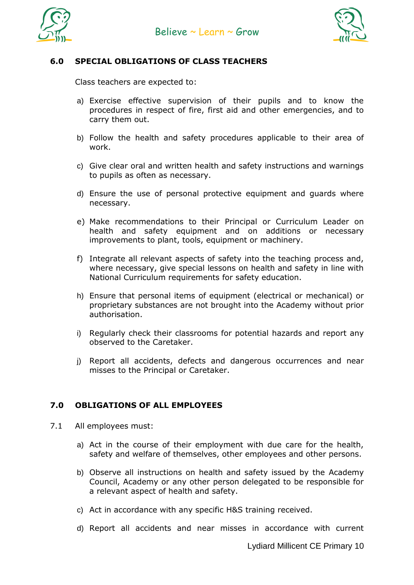



## <span id="page-9-0"></span>**6.0 SPECIAL OBLIGATIONS OF CLASS TEACHERS**

Class teachers are expected to:

- a) Exercise effective supervision of their pupils and to know the procedures in respect of fire, first aid and other emergencies, and to carry them out.
- b) Follow the health and safety procedures applicable to their area of work.
- c) Give clear oral and written health and safety instructions and warnings to pupils as often as necessary.
- d) Ensure the use of personal protective equipment and guards where necessary.
- e) Make recommendations to their Principal or Curriculum Leader on health and safety equipment and on additions or necessary improvements to plant, tools, equipment or machinery.
- f) Integrate all relevant aspects of safety into the teaching process and, where necessary, give special lessons on health and safety in line with National Curriculum requirements for safety education.
- h) Ensure that personal items of equipment (electrical or mechanical) or proprietary substances are not brought into the Academy without prior authorisation.
- i) Regularly check their classrooms for potential hazards and report any observed to the Caretaker.
- j) Report all accidents, defects and dangerous occurrences and near misses to the Principal or Caretaker.

## <span id="page-9-1"></span>**7.0 OBLIGATIONS OF ALL EMPLOYEES**

- 7.1 All employees must:
	- a) Act in the course of their employment with due care for the health, safety and welfare of themselves, other employees and other persons.
	- b) Observe all instructions on health and safety issued by the Academy Council, Academy or any other person delegated to be responsible for a relevant aspect of health and safety.
	- c) Act in accordance with any specific H&S training received.
	- d) Report all accidents and near misses in accordance with current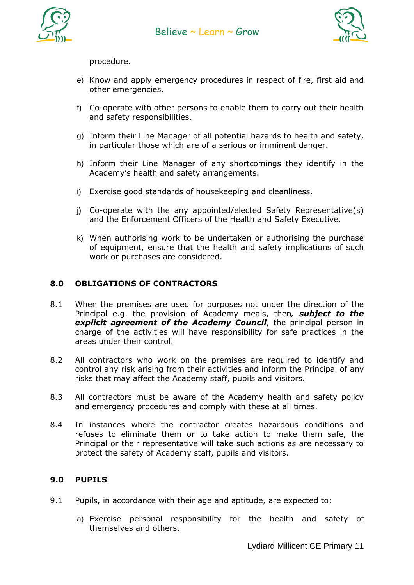



procedure.

- e) Know and apply emergency procedures in respect of fire, first aid and other emergencies.
- f) Co-operate with other persons to enable them to carry out their health and safety responsibilities.
- g) Inform their Line Manager of all potential hazards to health and safety, in particular those which are of a serious or imminent danger.
- h) Inform their Line Manager of any shortcomings they identify in the Academy's health and safety arrangements.
- i) Exercise good standards of housekeeping and cleanliness.
- j) Co-operate with the any appointed/elected Safety Representative(s) and the Enforcement Officers of the Health and Safety Executive.
- k) When authorising work to be undertaken or authorising the purchase of equipment, ensure that the health and safety implications of such work or purchases are considered.

## <span id="page-10-0"></span>**8.0 OBLIGATIONS OF CONTRACTORS**

- 8.1 When the premises are used for purposes not under the direction of the Principal e.g. the provision of Academy meals, then*, subject to the explicit agreement of the Academy Council*, the principal person in charge of the activities will have responsibility for safe practices in the areas under their control.
- 8.2 All contractors who work on the premises are required to identify and control any risk arising from their activities and inform the Principal of any risks that may affect the Academy staff, pupils and visitors.
- 8.3 All contractors must be aware of the Academy health and safety policy and emergency procedures and comply with these at all times.
- 8.4 In instances where the contractor creates hazardous conditions and refuses to eliminate them or to take action to make them safe, the Principal or their representative will take such actions as are necessary to protect the safety of Academy staff, pupils and visitors.

## <span id="page-10-1"></span>**9.0 PUPILS**

- 9.1 Pupils, in accordance with their age and aptitude, are expected to:
	- a) Exercise personal responsibility for the health and safety of themselves and others.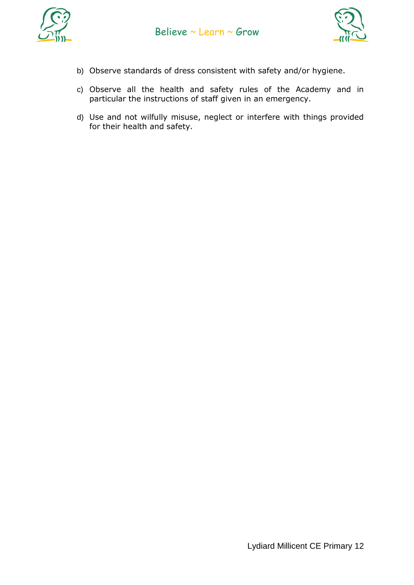



- b) Observe standards of dress consistent with safety and/or hygiene.
- c) Observe all the health and safety rules of the Academy and in particular the instructions of staff given in an emergency.
- d) Use and not wilfully misuse, neglect or interfere with things provided for their health and safety.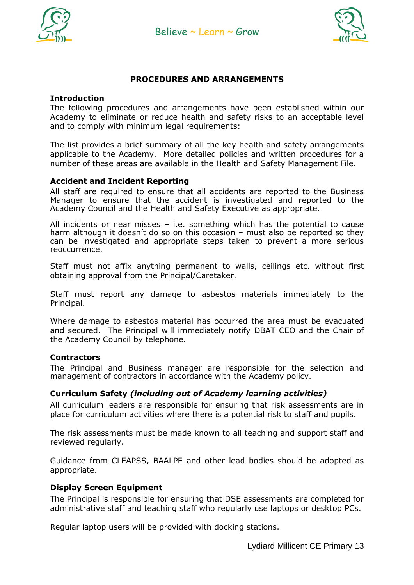



#### **PROCEDURES AND ARRANGEMENTS**

#### <span id="page-12-0"></span>**Introduction**

The following procedures and arrangements have been established within our Academy to eliminate or reduce health and safety risks to an acceptable level and to comply with minimum legal requirements:

The list provides a brief summary of all the key health and safety arrangements applicable to the Academy. More detailed policies and written procedures for a number of these areas are available in the Health and Safety Management File.

## <span id="page-12-1"></span>**Accident and Incident Reporting**

All staff are required to ensure that all accidents are reported to the Business Manager to ensure that the accident is investigated and reported to the Academy Council and the Health and Safety Executive as appropriate.

All incidents or near misses – i.e. something which has the potential to cause harm although it doesn't do so on this occasion – must also be reported so they can be investigated and appropriate steps taken to prevent a more serious reoccurrence.

Staff must not affix anything permanent to walls, ceilings etc. without first obtaining approval from the Principal/Caretaker.

Staff must report any damage to asbestos materials immediately to the Principal.

Where damage to asbestos material has occurred the area must be evacuated and secured. The Principal will immediately notify DBAT CEO and the Chair of the Academy Council by telephone.

#### <span id="page-12-2"></span>**Contractors**

The Principal and Business manager are responsible for the selection and management of contractors in accordance with the Academy policy.

#### <span id="page-12-3"></span>**Curriculum Safety** *(including out of Academy learning activities)*

All curriculum leaders are responsible for ensuring that risk assessments are in place for curriculum activities where there is a potential risk to staff and pupils.

The risk assessments must be made known to all teaching and support staff and reviewed regularly.

Guidance from CLEAPSS, BAALPE and other lead bodies should be adopted as appropriate.

#### <span id="page-12-4"></span>**Display Screen Equipment**

The Principal is responsible for ensuring that DSE assessments are completed for administrative staff and teaching staff who regularly use laptops or desktop PCs.

Regular laptop users will be provided with docking stations.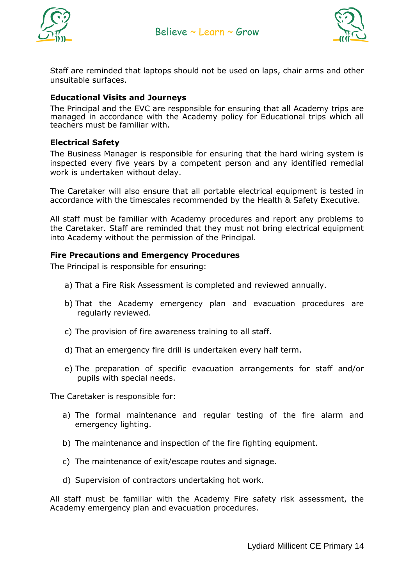



Staff are reminded that laptops should not be used on laps, chair arms and other unsuitable surfaces.

## <span id="page-13-0"></span>**Educational Visits and Journeys**

The Principal and the EVC are responsible for ensuring that all Academy trips are managed in accordance with the Academy policy for Educational trips which all teachers must be familiar with.

## <span id="page-13-1"></span>**Electrical Safety**

The Business Manager is responsible for ensuring that the hard wiring system is inspected every five years by a competent person and any identified remedial work is undertaken without delay.

The Caretaker will also ensure that all portable electrical equipment is tested in accordance with the timescales recommended by the Health & Safety Executive.

All staff must be familiar with Academy procedures and report any problems to the Caretaker. Staff are reminded that they must not bring electrical equipment into Academy without the permission of the Principal.

#### <span id="page-13-2"></span>**Fire Precautions and Emergency Procedures**

The Principal is responsible for ensuring:

- a) That a Fire Risk Assessment is completed and reviewed annually.
- b) That the Academy emergency plan and evacuation procedures are regularly reviewed.
- c) The provision of fire awareness training to all staff.
- d) That an emergency fire drill is undertaken every half term.
- e) The preparation of specific evacuation arrangements for staff and/or pupils with special needs.

The Caretaker is responsible for:

- a) The formal maintenance and regular testing of the fire alarm and emergency lighting.
- b) The maintenance and inspection of the fire fighting equipment.
- c) The maintenance of exit/escape routes and signage.
- d) Supervision of contractors undertaking hot work.

All staff must be familiar with the Academy Fire safety risk assessment, the Academy emergency plan and evacuation procedures.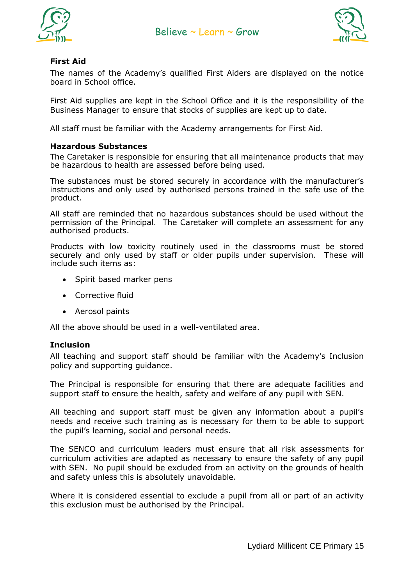





#### <span id="page-14-0"></span>**First Aid**

The names of the Academy's qualified First Aiders are displayed on the notice board in School office.

First Aid supplies are kept in the School Office and it is the responsibility of the Business Manager to ensure that stocks of supplies are kept up to date.

All staff must be familiar with the Academy arrangements for First Aid.

#### <span id="page-14-1"></span>**Hazardous Substances**

The Caretaker is responsible for ensuring that all maintenance products that may be hazardous to health are assessed before being used.

The substances must be stored securely in accordance with the manufacturer's instructions and only used by authorised persons trained in the safe use of the product.

All staff are reminded that no hazardous substances should be used without the permission of the Principal. The Caretaker will complete an assessment for any authorised products.

Products with low toxicity routinely used in the classrooms must be stored securely and only used by staff or older pupils under supervision. These will include such items as:

- Spirit based marker pens
- **Corrective fluid**
- Aerosol paints

All the above should be used in a well-ventilated area.

#### <span id="page-14-2"></span>**Inclusion**

All teaching and support staff should be familiar with the Academy's Inclusion policy and supporting guidance.

The Principal is responsible for ensuring that there are adequate facilities and support staff to ensure the health, safety and welfare of any pupil with SEN.

All teaching and support staff must be given any information about a pupil's needs and receive such training as is necessary for them to be able to support the pupil's learning, social and personal needs.

The SENCO and curriculum leaders must ensure that all risk assessments for curriculum activities are adapted as necessary to ensure the safety of any pupil with SEN. No pupil should be excluded from an activity on the grounds of health and safety unless this is absolutely unavoidable.

Where it is considered essential to exclude a pupil from all or part of an activity this exclusion must be authorised by the Principal.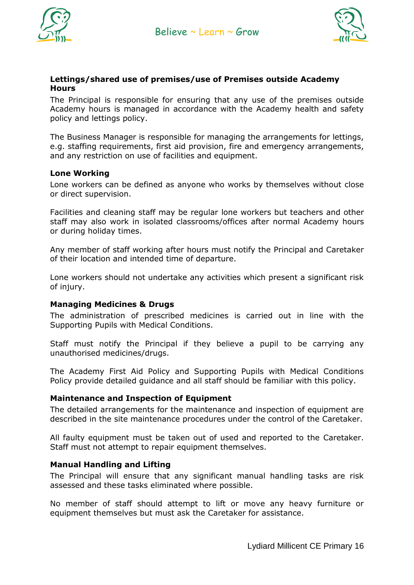



## <span id="page-15-0"></span>**Lettings/shared use of premises/use of Premises outside Academy Hours**

The Principal is responsible for ensuring that any use of the premises outside Academy hours is managed in accordance with the Academy health and safety policy and lettings policy.

The Business Manager is responsible for managing the arrangements for lettings, e.g. staffing requirements, first aid provision, fire and emergency arrangements, and any restriction on use of facilities and equipment.

#### <span id="page-15-1"></span>**Lone Working**

Lone workers can be defined as anyone who works by themselves without close or direct supervision.

Facilities and cleaning staff may be regular lone workers but teachers and other staff may also work in isolated classrooms/offices after normal Academy hours or during holiday times.

Any member of staff working after hours must notify the Principal and Caretaker of their location and intended time of departure.

Lone workers should not undertake any activities which present a significant risk of injury.

#### <span id="page-15-2"></span>**Managing Medicines & Drugs**

The administration of prescribed medicines is carried out in line with the Supporting Pupils with Medical Conditions.

Staff must notify the Principal if they believe a pupil to be carrying any unauthorised medicines/drugs.

The Academy First Aid Policy and Supporting Pupils with Medical Conditions Policy provide detailed guidance and all staff should be familiar with this policy.

#### <span id="page-15-3"></span>**Maintenance and Inspection of Equipment**

The detailed arrangements for the maintenance and inspection of equipment are described in the site maintenance procedures under the control of the Caretaker.

All faulty equipment must be taken out of used and reported to the Caretaker. Staff must not attempt to repair equipment themselves.

#### <span id="page-15-4"></span>**Manual Handling and Lifting**

The Principal will ensure that any significant manual handling tasks are risk assessed and these tasks eliminated where possible.

No member of staff should attempt to lift or move any heavy furniture or equipment themselves but must ask the Caretaker for assistance.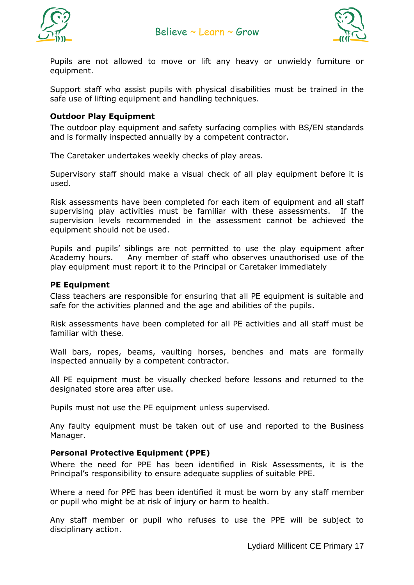





Pupils are not allowed to move or lift any heavy or unwieldy furniture or equipment.

Support staff who assist pupils with physical disabilities must be trained in the safe use of lifting equipment and handling techniques.

## <span id="page-16-0"></span>**Outdoor Play Equipment**

The outdoor play equipment and safety surfacing complies with BS/EN standards and is formally inspected annually by a competent contractor.

The Caretaker undertakes weekly checks of play areas.

Supervisory staff should make a visual check of all play equipment before it is used.

Risk assessments have been completed for each item of equipment and all staff supervising play activities must be familiar with these assessments. If the supervision levels recommended in the assessment cannot be achieved the equipment should not be used.

Pupils and pupils' siblings are not permitted to use the play equipment after Academy hours. Any member of staff who observes unauthorised use of the play equipment must report it to the Principal or Caretaker immediately

## <span id="page-16-1"></span>**PE Equipment**

Class teachers are responsible for ensuring that all PE equipment is suitable and safe for the activities planned and the age and abilities of the pupils.

Risk assessments have been completed for all PE activities and all staff must be familiar with these.

Wall bars, ropes, beams, vaulting horses, benches and mats are formally inspected annually by a competent contractor.

All PE equipment must be visually checked before lessons and returned to the designated store area after use.

Pupils must not use the PE equipment unless supervised.

Any faulty equipment must be taken out of use and reported to the Business Manager.

#### <span id="page-16-2"></span>**Personal Protective Equipment (PPE)**

Where the need for PPE has been identified in Risk Assessments, it is the Principal's responsibility to ensure adequate supplies of suitable PPE.

Where a need for PPE has been identified it must be worn by any staff member or pupil who might be at risk of injury or harm to health.

Any staff member or pupil who refuses to use the PPE will be subject to disciplinary action.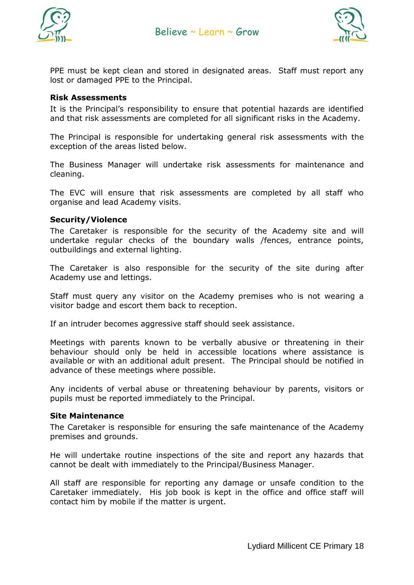



PPE must be kept clean and stored in designated areas. Staff must report any lost or damaged PPE to the Principal.

#### <span id="page-17-0"></span>**Risk Assessments**

It is the Principal's responsibility to ensure that potential hazards are identified and that risk assessments are completed for all significant risks in the Academy.

The Principal is responsible for undertaking general risk assessments with the exception of the areas listed below.

The Business Manager will undertake risk assessments for maintenance and cleaning.

The EVC will ensure that risk assessments are completed by all staff who organise and lead Academy visits.

#### <span id="page-17-1"></span>**Security/Violence**

The Caretaker is responsible for the security of the Academy site and will undertake regular checks of the boundary walls /fences, entrance points, outbuildings and external lighting.

The Caretaker is also responsible for the security of the site during after Academy use and lettings.

Staff must query any visitor on the Academy premises who is not wearing a visitor badge and escort them back to reception.

If an intruder becomes aggressive staff should seek assistance.

Meetings with parents known to be verbally abusive or threatening in their behaviour should only be held in accessible locations where assistance is available or with an additional adult present. The Principal should be notified in advance of these meetings where possible.

Any incidents of verbal abuse or threatening behaviour by parents, visitors or pupils must be reported immediately to the Principal.

#### <span id="page-17-2"></span>**Site Maintenance**

The Caretaker is responsible for ensuring the safe maintenance of the Academy premises and grounds.

He will undertake routine inspections of the site and report any hazards that cannot be dealt with immediately to the Principal/Business Manager.

All staff are responsible for reporting any damage or unsafe condition to the Caretaker immediately. His job book is kept in the office and office staff will contact him by mobile if the matter is urgent.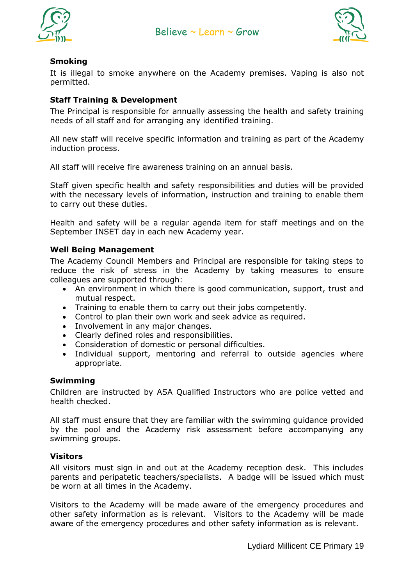



## <span id="page-18-0"></span>**Smoking**

It is illegal to smoke anywhere on the Academy premises. Vaping is also not permitted.

## <span id="page-18-1"></span>**Staff Training & Development**

The Principal is responsible for annually assessing the health and safety training needs of all staff and for arranging any identified training.

All new staff will receive specific information and training as part of the Academy induction process.

All staff will receive fire awareness training on an annual basis.

Staff given specific health and safety responsibilities and duties will be provided with the necessary levels of information, instruction and training to enable them to carry out these duties.

Health and safety will be a regular agenda item for staff meetings and on the September INSET day in each new Academy year.

## <span id="page-18-2"></span>**Well Being Management**

The Academy Council Members and Principal are responsible for taking steps to reduce the risk of stress in the Academy by taking measures to ensure colleagues are supported through:

- An environment in which there is good communication, support, trust and mutual respect.
- Training to enable them to carry out their jobs competently.
- Control to plan their own work and seek advice as required.
- Involvement in any major changes.
- Clearly defined roles and responsibilities.
- Consideration of domestic or personal difficulties.
- Individual support, mentoring and referral to outside agencies where appropriate.

#### <span id="page-18-3"></span>**Swimming**

Children are instructed by ASA Qualified Instructors who are police vetted and health checked.

All staff must ensure that they are familiar with the swimming guidance provided by the pool and the Academy risk assessment before accompanying any swimming groups.

#### <span id="page-18-4"></span>**Visitors**

All visitors must sign in and out at the Academy reception desk. This includes parents and peripatetic teachers/specialists. A badge will be issued which must be worn at all times in the Academy.

Visitors to the Academy will be made aware of the emergency procedures and other safety information as is relevant. Visitors to the Academy will be made aware of the emergency procedures and other safety information as is relevant.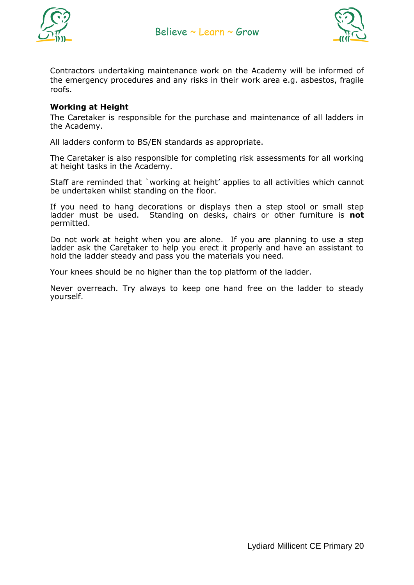



Contractors undertaking maintenance work on the Academy will be informed of the emergency procedures and any risks in their work area e.g. asbestos, fragile roofs.

#### <span id="page-19-0"></span>**Working at Height**

The Caretaker is responsible for the purchase and maintenance of all ladders in the Academy.

All ladders conform to BS/EN standards as appropriate.

The Caretaker is also responsible for completing risk assessments for all working at height tasks in the Academy.

Staff are reminded that `working at height' applies to all activities which cannot be undertaken whilst standing on the floor.

If you need to hang decorations or displays then a step stool or small step ladder must be used. Standing on desks, chairs or other furniture is **not** permitted.

Do not work at height when you are alone. If you are planning to use a step ladder ask the Caretaker to help you erect it properly and have an assistant to hold the ladder steady and pass you the materials you need.

Your knees should be no higher than the top platform of the ladder.

Never overreach. Try always to keep one hand free on the ladder to steady yourself.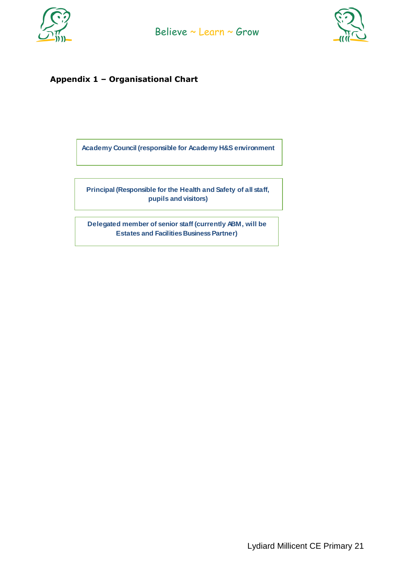



## <span id="page-20-0"></span>**Appendix 1 – Organisational Chart**

**Academy Council (responsible for Academy H&S environment**

**Principal (Responsible for the Health and Safety of all staff, pupils andvisitors)**

**Delegated member of senior staff (currently ABM, will be Estates and Facilities Business Partner)**